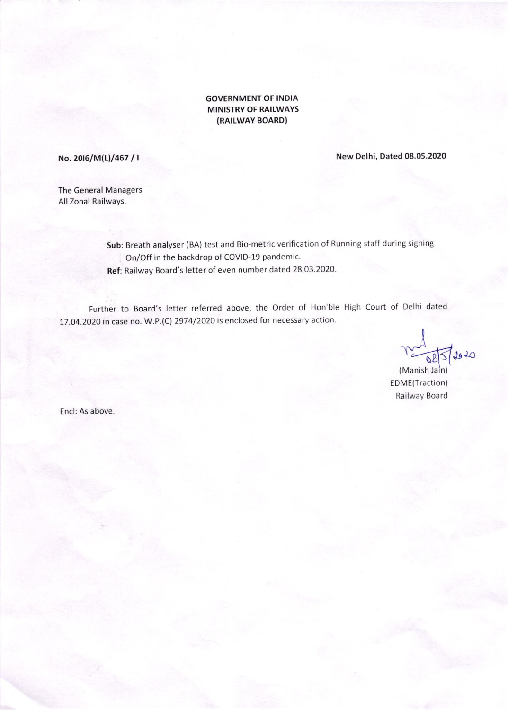#### GOVERNMENT OF INDIA **MINISTRY OF RAILWAYS** (RAILWAY BOARD)

No. 2016/M(L)/467 / I New Delhi, Dated 08.05.2020

The General Managers All Zonal Railways.

> Sub: Breath analyser (BA) test and Bio-metric verification of Running staff during signing On/Off in the backdrop of COVID-19 pandemic. Ref: Railway Board's letter of even number dated 28.O3.2O2O-

Further to Board's letter referred above, the order of Hon'ble High court of Delhi dated 17.04.2020 in case no. W.P.(C) 2974/2020 is enclosed for necessary action'

 $12010$ 

(Manish Jain) EDME(Traction) Railway Board

Encl: As above.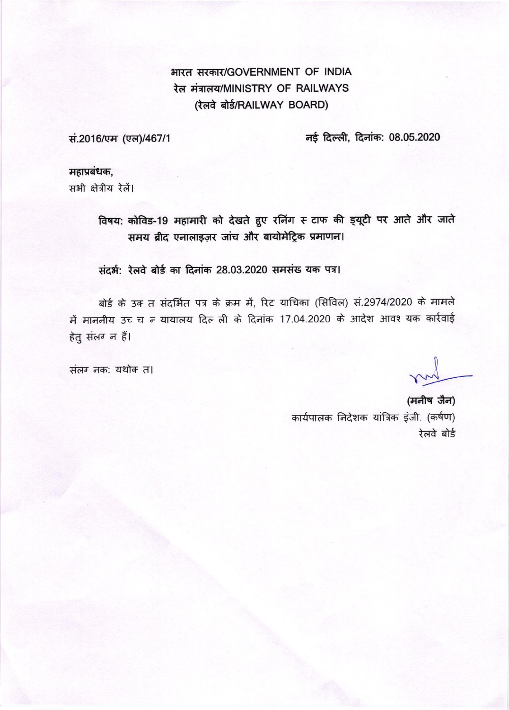# भारत सरकार/GOVERNMENT OF INDIA रेल मंत्रालय/MINISTRY OF RAILWAYS (रेलवे बोर्ड/RAILWAY BOARD)

सं.2016/एम (एल)/467/1

नई दिल्ली, दिनांक: 08.05.2020

महाप्रबंधक, सभी क्षेत्रीय रेलें।

> विषय: कोविड-19 महामारी को देखते हुए रनिंग स टाफ की इयूटी पर आते और जाते समय ब्रीद एनालाइज़र जांच और बायोमेट्रिक प्रमाणन।

संदर्भ: रेलवे बोर्ड का दिनांक 28.03.2020 समसंख यक पत्र।

बोर्ड के उक त संदर्भित पत्र के क्रम में, रिट याचिका (सिविल) सं.2974/2020 के मामले में माननीय उच्च न यायालय दिल ली के दिनांक 17.04.2020 के आदेश आवश्यक कार्रवाई हेतू संलग्न में।

संलग नक: यथोक त।

(मनीष जैन) कार्यपालक निदेशक यांत्रिक इंजी. (कर्षण) रेलवे बोर्ड